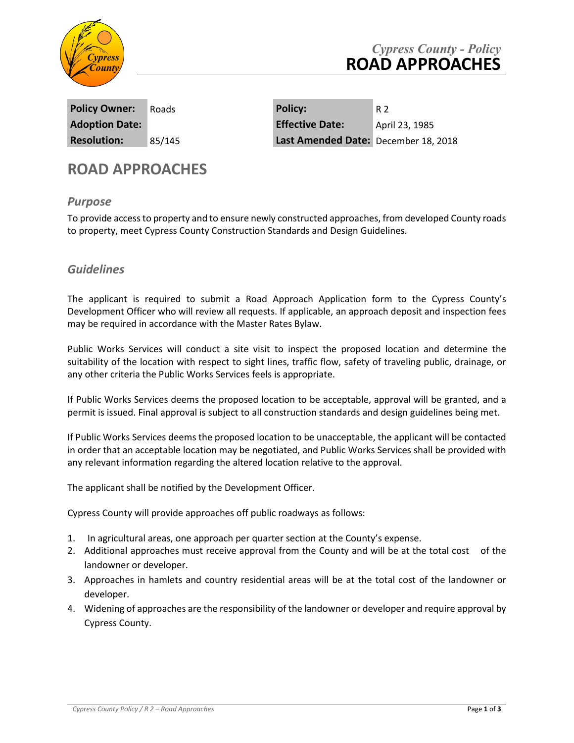

| <b>Policy Owner:</b>  | Roads  |
|-----------------------|--------|
| <b>Adoption Date:</b> |        |
| <b>Resolution:</b>    | 85/145 |

**Policy Owner:** Roads **Policy:** R 2 **Adoption Date: Effective Date:** April 23, 1985 Last Amended Date: December 18, 2018

# **ROAD APPROACHES**

### *Purpose*

To provide access to property and to ensure newly constructed approaches, from developed County roads to property, meet Cypress County Construction Standards and Design Guidelines.

## *Guidelines*

The applicant is required to submit a Road Approach Application form to the Cypress County's Development Officer who will review all requests. If applicable, an approach deposit and inspection fees may be required in accordance with the Master Rates Bylaw.

Public Works Services will conduct a site visit to inspect the proposed location and determine the suitability of the location with respect to sight lines, traffic flow, safety of traveling public, drainage, or any other criteria the Public Works Services feels is appropriate.

If Public Works Services deems the proposed location to be acceptable, approval will be granted, and a permit is issued. Final approval is subject to all construction standards and design guidelines being met.

If Public Works Services deems the proposed location to be unacceptable, the applicant will be contacted in order that an acceptable location may be negotiated, and Public Works Services shall be provided with any relevant information regarding the altered location relative to the approval.

The applicant shall be notified by the Development Officer.

Cypress County will provide approaches off public roadways as follows:

- 1. In agricultural areas, one approach per quarter section at the County's expense.
- 2. Additional approaches must receive approval from the County and will be at the total cost of the landowner or developer.
- 3. Approaches in hamlets and country residential areas will be at the total cost of the landowner or developer.
- 4. Widening of approaches are the responsibility of the landowner or developer and require approval by Cypress County.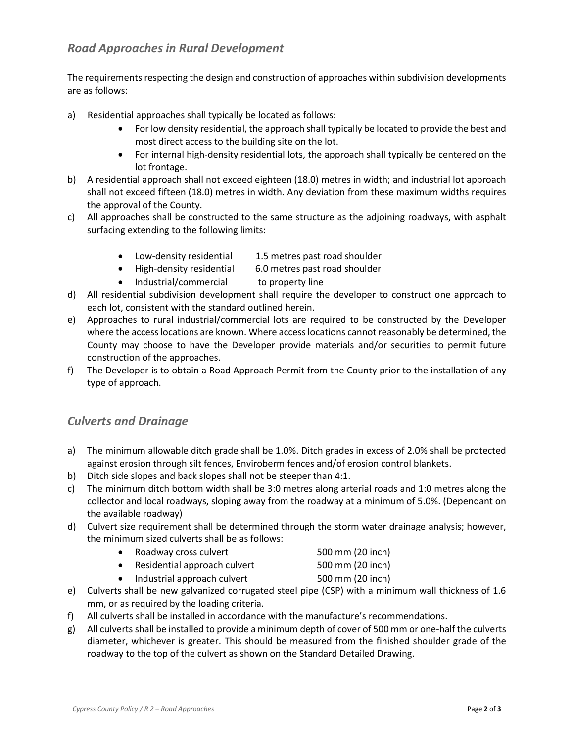## *Road Approaches in Rural Development*

The requirements respecting the design and construction of approaches within subdivision developments are as follows:

- a) Residential approaches shall typically be located as follows:
	- For low density residential, the approach shall typically be located to provide the best and most direct access to the building site on the lot.
	- For internal high-density residential lots, the approach shall typically be centered on the lot frontage.
- b) A residential approach shall not exceed eighteen (18.0) metres in width; and industrial lot approach shall not exceed fifteen (18.0) metres in width. Any deviation from these maximum widths requires the approval of the County.
- c) All approaches shall be constructed to the same structure as the adjoining roadways, with asphalt surfacing extending to the following limits:
	- Low-density residential 1.5 metres past road shoulder
	- High-density residential 6.0 metres past road shoulder
	- Industrial/commercial to property line
- d) All residential subdivision development shall require the developer to construct one approach to each lot, consistent with the standard outlined herein.
- e) Approaches to rural industrial/commercial lots are required to be constructed by the Developer where the access locations are known. Where access locations cannot reasonably be determined, the County may choose to have the Developer provide materials and/or securities to permit future construction of the approaches.
- f) The Developer is to obtain a Road Approach Permit from the County prior to the installation of any type of approach.

### *Culverts and Drainage*

- a) The minimum allowable ditch grade shall be 1.0%. Ditch grades in excess of 2.0% shall be protected against erosion through silt fences, Enviroberm fences and/of erosion control blankets.
- b) Ditch side slopes and back slopes shall not be steeper than 4:1.
- c) The minimum ditch bottom width shall be 3:0 metres along arterial roads and 1:0 metres along the collector and local roadways, sloping away from the roadway at a minimum of 5.0%. (Dependant on the available roadway)
- d) Culvert size requirement shall be determined through the storm water drainage analysis; however, the minimum sized culverts shall be as follows:
	- Roadway cross culvert 500 mm (20 inch)
	- Residential approach culvert 500 mm (20 inch)
	- Industrial approach culvert 500 mm (20 inch)
- e) Culverts shall be new galvanized corrugated steel pipe (CSP) with a minimum wall thickness of 1.6 mm, or as required by the loading criteria.
- f) All culverts shall be installed in accordance with the manufacture's recommendations.
- g) All culverts shall be installed to provide a minimum depth of cover of 500 mm or one-half the culverts diameter, whichever is greater. This should be measured from the finished shoulder grade of the roadway to the top of the culvert as shown on the Standard Detailed Drawing.